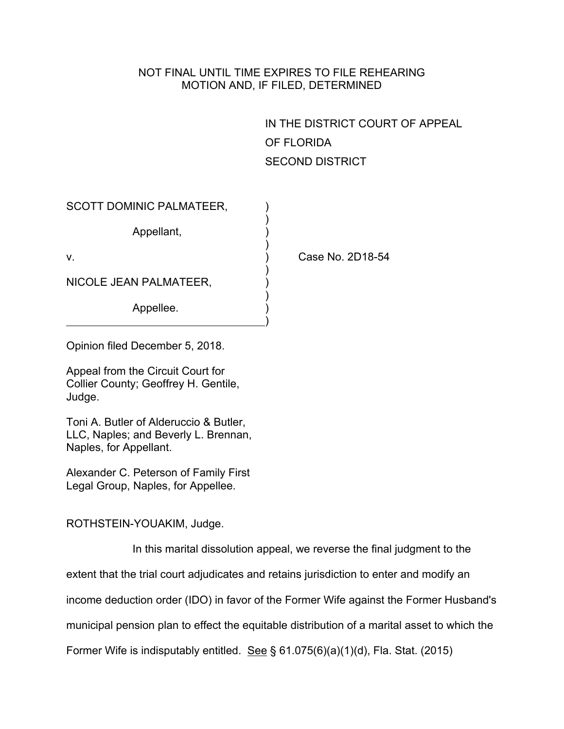## NOT FINAL UNTIL TIME EXPIRES TO FILE REHEARING MOTION AND, IF FILED, DETERMINED

IN THE DISTRICT COURT OF APPEAL OF FLORIDA SECOND DISTRICT

| <b>SCOTT DOMINIC PALMATEER,</b> |                  |
|---------------------------------|------------------|
| Appellant,                      |                  |
| ν.                              | Case No. 2D18-54 |
| NICOLE JEAN PALMATEER,          |                  |
| Appellee.                       |                  |

Opinion filed December 5, 2018.

Appeal from the Circuit Court for Collier County; Geoffrey H. Gentile, Judge.

Toni A. Butler of Alderuccio & Butler, LLC, Naples; and Beverly L. Brennan, Naples, for Appellant.

Alexander C. Peterson of Family First Legal Group, Naples, for Appellee.

ROTHSTEIN-YOUAKIM, Judge.

In this marital dissolution appeal, we reverse the final judgment to the

extent that the trial court adjudicates and retains jurisdiction to enter and modify an

income deduction order (IDO) in favor of the Former Wife against the Former Husband's

municipal pension plan to effect the equitable distribution of a marital asset to which the

Former Wife is indisputably entitled. See § 61.075(6)(a)(1)(d), Fla. Stat. (2015)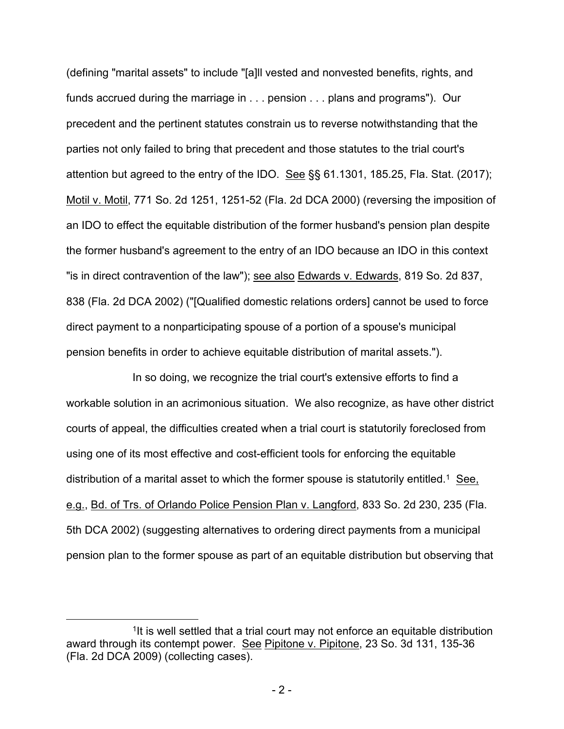(defining "marital assets" to include "[a]ll vested and nonvested benefits, rights, and funds accrued during the marriage in . . . pension . . . plans and programs"). Our precedent and the pertinent statutes constrain us to reverse notwithstanding that the parties not only failed to bring that precedent and those statutes to the trial court's attention but agreed to the entry of the IDO. See §§ 61.1301, 185.25, Fla. Stat. (2017); Motil v. Motil, 771 So. 2d 1251, 1251-52 (Fla. 2d DCA 2000) (reversing the imposition of an IDO to effect the equitable distribution of the former husband's pension plan despite the former husband's agreement to the entry of an IDO because an IDO in this context "is in direct contravention of the law"); see also Edwards v. Edwards, 819 So. 2d 837, 838 (Fla. 2d DCA 2002) ("[Qualified domestic relations orders] cannot be used to force direct payment to a nonparticipating spouse of a portion of a spouse's municipal pension benefits in order to achieve equitable distribution of marital assets.").

In so doing, we recognize the trial court's extensive efforts to find a workable solution in an acrimonious situation. We also recognize, as have other district courts of appeal, the difficulties created when a trial court is statutorily foreclosed from using one of its most effective and cost-efficient tools for enforcing the equitable distribution of a marital asset to which the former spouse is statutorily entitled.<sup>1</sup> See, e.g., Bd. of Trs. of Orlando Police Pension Plan v. Langford, 833 So. 2d 230, 235 (Fla. 5th DCA 2002) (suggesting alternatives to ordering direct payments from a municipal pension plan to the former spouse as part of an equitable distribution but observing that

<sup>&</sup>lt;sup>1</sup>It is well settled that a trial court may not enforce an equitable distribution award through its contempt power. See Pipitone v. Pipitone, 23 So. 3d 131, 135-36 (Fla. 2d DCA 2009) (collecting cases).